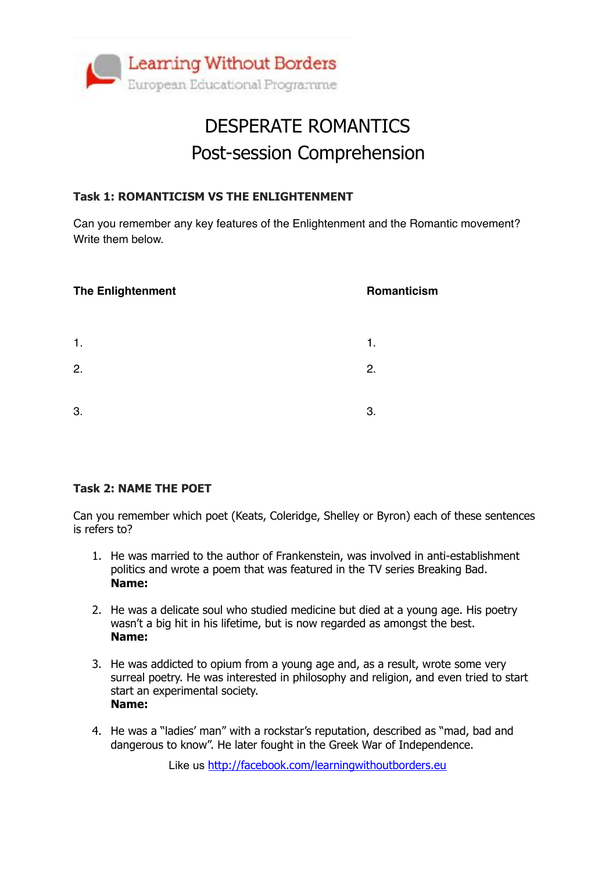

## DESPERATE ROMANTICS Post-session Comprehension

#### **Task 1: ROMANTICISM VS THE ENLIGHTENMENT**

Can you remember any key features of the Enlightenment and the Romantic movement? Write them below.

| <b>The Enlightenment</b> | Romanticism    |
|--------------------------|----------------|
|                          |                |
| $\mathbf{1}$ .           | $\mathbf{1}$ . |
| 2.                       | 2.             |
|                          |                |
| 3.                       | 3.             |

#### **Task 2: NAME THE POET**

Can you remember which poet (Keats, Coleridge, Shelley or Byron) each of these sentences is refers to?

- 1. He was married to the author of Frankenstein, was involved in anti-establishment politics and wrote a poem that was featured in the TV series Breaking Bad. **Name:**
- 2. He was a delicate soul who studied medicine but died at a young age. His poetry wasn't a big hit in his lifetime, but is now regarded as amongst the best. **Name:**
- 3. He was addicted to opium from a young age and, as a result, wrote some very surreal poetry. He was interested in philosophy and religion, and even tried to start start an experimental society. **Name:**
- 4. He was a "ladies' man" with a rockstar's reputation, described as "mad, bad and dangerous to know". He later fought in the Greek War of Independence.

Like us <http://facebook.com/learningwithoutborders.eu>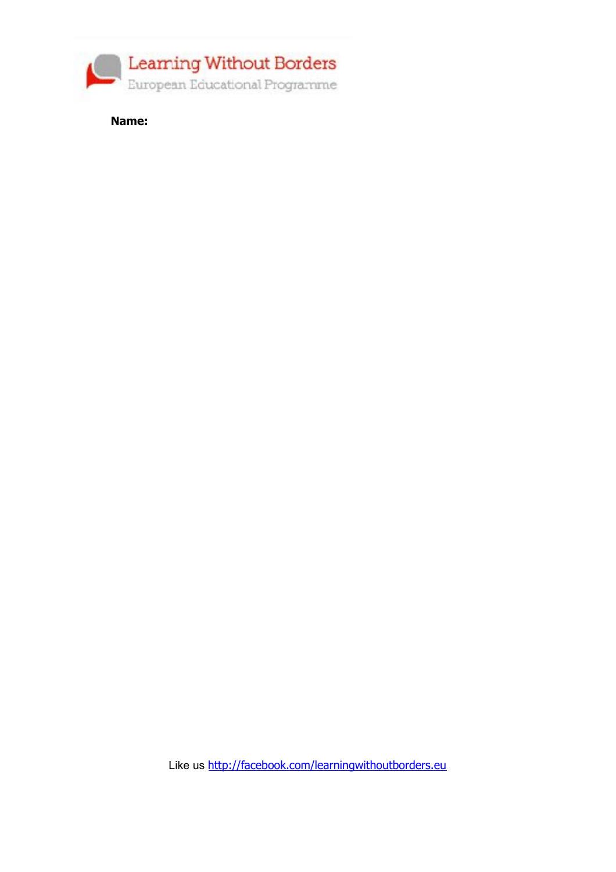

**Name:**

Like us <http://facebook.com/learningwithoutborders.eu>